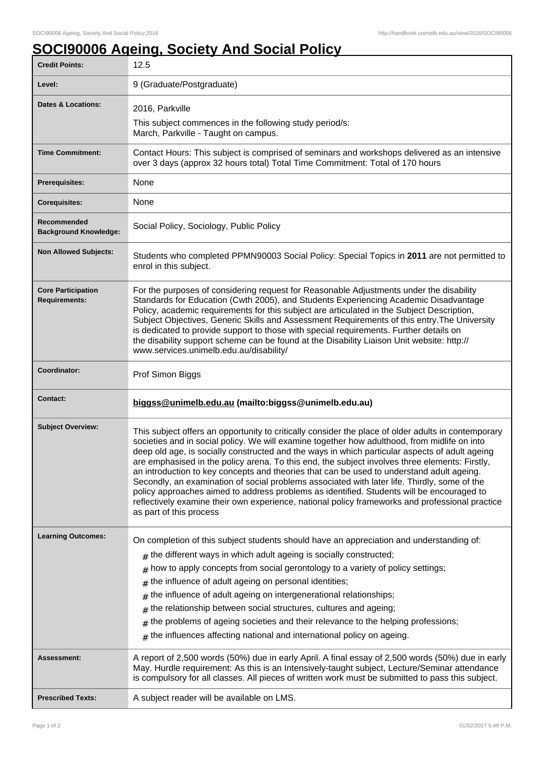## **SOCI90006 Ageing, Society And Social Policy**

| <b>Credit Points:</b>                             | 12.5                                                                                                                                                                                                                                                                                                                                                                                                                                                                                                                                                                                                                                                                                                                                                                                                                            |
|---------------------------------------------------|---------------------------------------------------------------------------------------------------------------------------------------------------------------------------------------------------------------------------------------------------------------------------------------------------------------------------------------------------------------------------------------------------------------------------------------------------------------------------------------------------------------------------------------------------------------------------------------------------------------------------------------------------------------------------------------------------------------------------------------------------------------------------------------------------------------------------------|
| Level:                                            | 9 (Graduate/Postgraduate)                                                                                                                                                                                                                                                                                                                                                                                                                                                                                                                                                                                                                                                                                                                                                                                                       |
| <b>Dates &amp; Locations:</b>                     | 2016, Parkville                                                                                                                                                                                                                                                                                                                                                                                                                                                                                                                                                                                                                                                                                                                                                                                                                 |
|                                                   | This subject commences in the following study period/s:<br>March, Parkville - Taught on campus.                                                                                                                                                                                                                                                                                                                                                                                                                                                                                                                                                                                                                                                                                                                                 |
| <b>Time Commitment:</b>                           | Contact Hours: This subject is comprised of seminars and workshops delivered as an intensive<br>over 3 days (approx 32 hours total) Total Time Commitment: Total of 170 hours                                                                                                                                                                                                                                                                                                                                                                                                                                                                                                                                                                                                                                                   |
| <b>Prerequisites:</b>                             | None                                                                                                                                                                                                                                                                                                                                                                                                                                                                                                                                                                                                                                                                                                                                                                                                                            |
| <b>Corequisites:</b>                              | None                                                                                                                                                                                                                                                                                                                                                                                                                                                                                                                                                                                                                                                                                                                                                                                                                            |
| Recommended<br><b>Background Knowledge:</b>       | Social Policy, Sociology, Public Policy                                                                                                                                                                                                                                                                                                                                                                                                                                                                                                                                                                                                                                                                                                                                                                                         |
| <b>Non Allowed Subjects:</b>                      | Students who completed PPMN90003 Social Policy: Special Topics in 2011 are not permitted to<br>enrol in this subject.                                                                                                                                                                                                                                                                                                                                                                                                                                                                                                                                                                                                                                                                                                           |
| <b>Core Participation</b><br><b>Requirements:</b> | For the purposes of considering request for Reasonable Adjustments under the disability<br>Standards for Education (Cwth 2005), and Students Experiencing Academic Disadvantage<br>Policy, academic requirements for this subject are articulated in the Subject Description,<br>Subject Objectives, Generic Skills and Assessment Requirements of this entry. The University<br>is dedicated to provide support to those with special requirements. Further details on<br>the disability support scheme can be found at the Disability Liaison Unit website: http://<br>www.services.unimelb.edu.au/disability/                                                                                                                                                                                                                |
| Coordinator:                                      | Prof Simon Biggs                                                                                                                                                                                                                                                                                                                                                                                                                                                                                                                                                                                                                                                                                                                                                                                                                |
| <b>Contact:</b>                                   | biggss@unimelb.edu.au (mailto:biggss@unimelb.edu.au)                                                                                                                                                                                                                                                                                                                                                                                                                                                                                                                                                                                                                                                                                                                                                                            |
| <b>Subject Overview:</b>                          | This subject offers an opportunity to critically consider the place of older adults in contemporary<br>societies and in social policy. We will examine together how adulthood, from midlife on into<br>deep old age, is socially constructed and the ways in which particular aspects of adult ageing<br>are emphasised in the policy arena. To this end, the subject involves three elements: Firstly,<br>an introduction to key concepts and theories that can be used to understand adult ageing.<br>Secondly, an examination of social problems associated with later life. Thirdly, some of the<br>policy approaches aimed to address problems as identified. Students will be encouraged to<br>reflectively examine their own experience, national policy frameworks and professional practice<br>as part of this process |
| <b>Learning Outcomes:</b>                         | On completion of this subject students should have an appreciation and understanding of:<br>$*$ the different ways in which adult ageing is socially constructed;<br>how to apply concepts from social gerontology to a variety of policy settings;<br>#<br>the influence of adult ageing on personal identities;<br>#<br>the influence of adult ageing on intergenerational relationships;<br>#<br>the relationship between social structures, cultures and ageing;<br>#<br>the problems of ageing societies and their relevance to the helping professions;<br>#<br>the influences affecting national and international policy on ageing.<br>#                                                                                                                                                                                |
| <b>Assessment:</b>                                | A report of 2,500 words (50%) due in early April. A final essay of 2,500 words (50%) due in early<br>May. Hurdle requirement: As this is an Intensively-taught subject, Lecture/Seminar attendance<br>is compulsory for all classes. All pieces of written work must be submitted to pass this subject.                                                                                                                                                                                                                                                                                                                                                                                                                                                                                                                         |
| <b>Prescribed Texts:</b>                          | A subject reader will be available on LMS.                                                                                                                                                                                                                                                                                                                                                                                                                                                                                                                                                                                                                                                                                                                                                                                      |